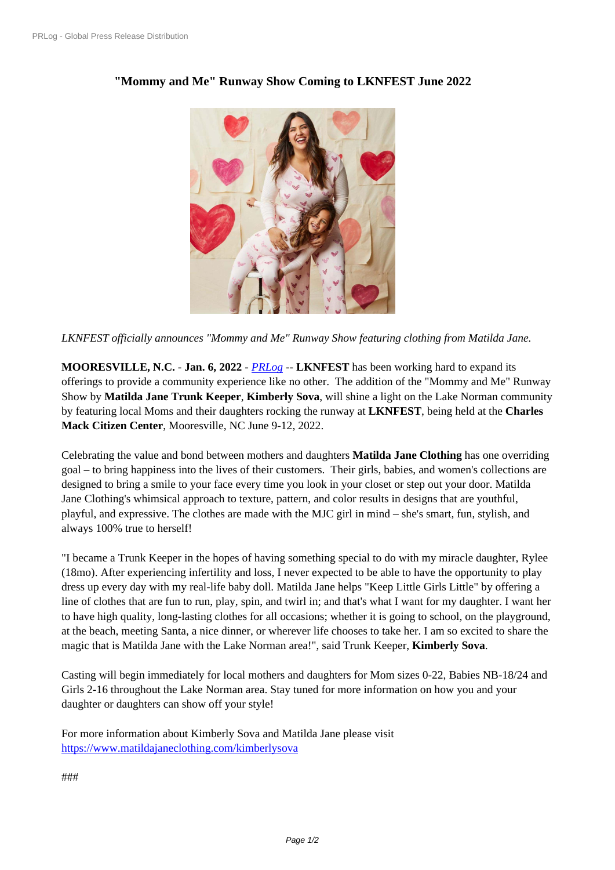## **["Mommy and](https://www.prlog.org/) Me" Runway Show Coming to LKNFEST June 2022**



*LKNFEST officially announ[ces "Mommy and Me" Runway Show featuring](https://www.prlog.org/12899891-love-to-sleep-pj-set-fairy-dust-allover-pjs.jpg) clothing from Matilda Jane.*

**MOORESVILLE, N.C.** - **Jan. 6, 2022** - *PRLog* -- **LKNFEST** has been working hard to expand its offerings to provide a community experience like no other. The addition of the "Mommy and Me" Runway Show by **Matilda Jane Trunk Keeper**, **Kimberly Sova**, will shine a light on the Lake Norman community by featuring local Moms and their daught[ers rock](https://www.prlog.org)ing the runway at **LKNFEST**, being held at the **Charles Mack Citizen Center**, Mooresville, NC June 9-12, 2022.

Celebrating the value and bond between mothers and daughters **Matilda Jane Clothing** has one overriding goal – to bring happiness into the lives of their customers. Their girls, babies, and women's collections are designed to bring a smile to your face every time you look in your closet or step out your door. Matilda Jane Clothing's whimsical approach to texture, pattern, and color results in designs that are youthful, playful, and expressive. The clothes are made with the MJC girl in mind – she's smart, fun, stylish, and always 100% true to herself!

"I became a Trunk Keeper in the hopes of having something special to do with my miracle daughter, Rylee (18mo). After experiencing infertility and loss, I never expected to be able to have the opportunity to play dress up every day with my real-life baby doll. Matilda Jane helps "Keep Little Girls Little" by offering a line of clothes that are fun to run, play, spin, and twirl in; and that's what I want for my daughter. I want her to have high quality, long-lasting clothes for all occasions; whether it is going to school, on the playground, at the beach, meeting Santa, a nice dinner, or wherever life chooses to take her. I am so excited to share the magic that is Matilda Jane with the Lake Norman area!", said Trunk Keeper, **Kimberly Sova**.

Casting will begin immediately for local mothers and daughters for Mom sizes 0-22, Babies NB-18/24 and Girls 2-16 throughout the Lake Norman area. Stay tuned for more information on how you and your daughter or daughters can show off your style!

For more information about Kimberly Sova and Matilda Jane please visit https://www.matildajaneclothing.com/kimberlysova

###